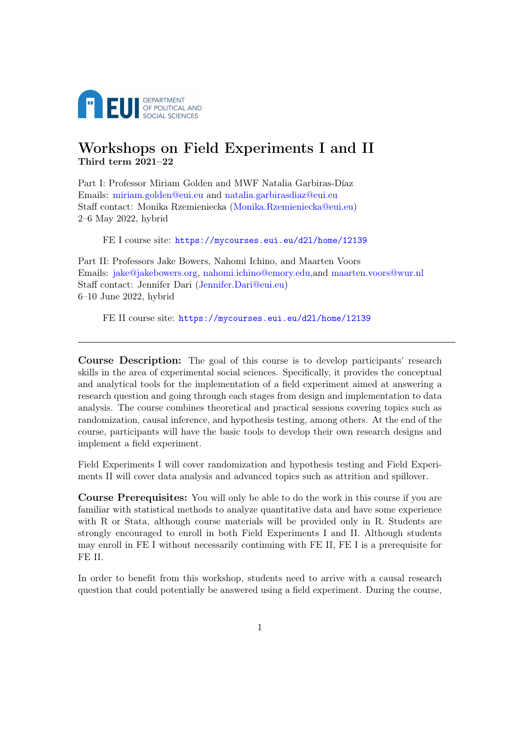

# Workshops on Field Experiments I and II Third term 2021–22

Part I: Professor Miriam Golden and MWF Natalia Garbiras-Díaz Emails: [miriam.golden@eui.eu](mailto:miriam.golden@eui.eu) and [natalia.garbirasdiaz@eui.eu](mailto:natalia.garbirasdiaz@eui.eu) Staff contact: Monika Rzemieniecka [\(Monika.Rzemieniecka@eui.eu\)](mailto:Monika.Rzemieniecka@eui.eu) 2–6 May 2022, hybrid

FE I course site: <https://mycourses.eui.eu/d2l/home/12139>

Part II: Professors Jake Bowers, Nahomi Ichino, and Maarten Voors Emails: [jake@jakebowers.org,](mailto:jake@jakebowers.org) [nahomi.ichino@emory.edu,](mailto:nahomi.ichino@emory.edu)and [maarten.voors@wur.nl](mailto:maarten.voors@wur.nl) Staff contact: Jennifer Dari [\(Jennifer.Dari@eui.eu\)](mailto:Jennifer.Dari@eui.eu) 6–10 June 2022, hybrid

FE II course site: <https://mycourses.eui.eu/d2l/home/12139>

Course Description: The goal of this course is to develop participants' research skills in the area of experimental social sciences. Specifically, it provides the conceptual and analytical tools for the implementation of a field experiment aimed at answering a research question and going through each stages from design and implementation to data analysis. The course combines theoretical and practical sessions covering topics such as randomization, causal inference, and hypothesis testing, among others. At the end of the course, participants will have the basic tools to develop their own research designs and implement a field experiment.

Field Experiments I will cover randomization and hypothesis testing and Field Experiments II will cover data analysis and advanced topics such as attrition and spillover.

Course Prerequisites: You will only be able to do the work in this course if you are familiar with statistical methods to analyze quantitative data and have some experience with R or Stata, although course materials will be provided only in R. Students are strongly encouraged to enroll in both Field Experiments I and II. Although students may enroll in FE I without necessarily continuing with FE II, FE I is a prerequisite for FE II.

In order to benefit from this workshop, students need to arrive with a causal research question that could potentially be answered using a field experiment. During the course,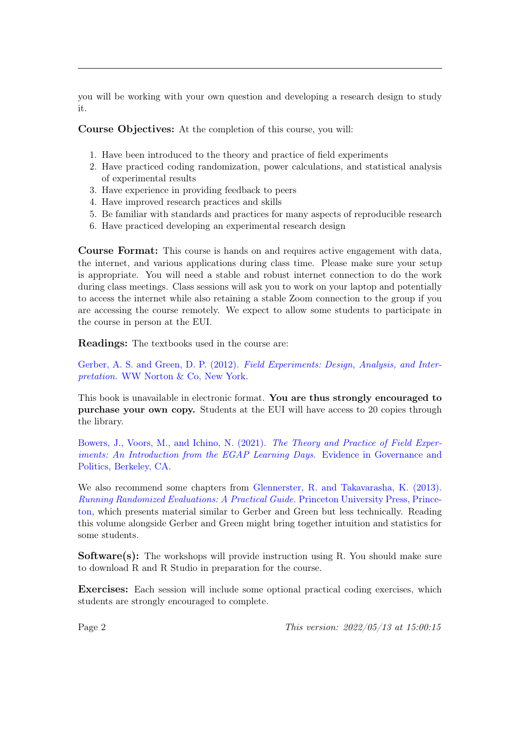you will be working with your own question and developing a research design to study it.

Course Objectives: At the completion of this course, you will:

- 1. Have been introduced to the theory and practice of field experiments
- 2. Have practiced coding randomization, power calculations, and statistical analysis of experimental results
- 3. Have experience in providing feedback to peers
- 4. Have improved research practices and skills
- 5. Be familiar with standards and practices for many aspects of reproducible research
- 6. Have practiced developing an experimental research design

Course Format: This course is hands on and requires active engagement with data, the internet, and various applications during class time. Please make sure your setup is appropriate. You will need a stable and robust internet connection to do the work during class meetings. Class sessions will ask you to work on your laptop and potentially to access the internet while also retaining a stable Zoom connection to the group if you are accessing the course remotely. We expect to allow some students to participate in the course in person at the EUI.

Readings: The textbooks used in the course are:

Gerber, A. S. and Green, D. P. (2012). [Field Experiments: Design, Analysis, and Inter](https://www.amazon.it/Field-Experiments-Design-Analysis-Interpretation/dp/0393979954/ref=asc_df_0393979954/?tag=googshopit-21&linkCode=df0&hvadid=90701409780&hvpos=&hvnetw=g&hvrand=3171854416136710477&hvpone=&hvptwo=&hvqmt=&hvdev=c&hvdvcmdl=&hvlocint=&hvlocphy=1008311&hvtargid=pla-140694136875&psc=1)pretation[. WW Norton & Co, New York.](https://www.amazon.it/Field-Experiments-Design-Analysis-Interpretation/dp/0393979954/ref=asc_df_0393979954/?tag=googshopit-21&linkCode=df0&hvadid=90701409780&hvpos=&hvnetw=g&hvrand=3171854416136710477&hvpone=&hvptwo=&hvqmt=&hvdev=c&hvdvcmdl=&hvlocint=&hvlocphy=1008311&hvtargid=pla-140694136875&psc=1)

This book is unavailable in electronic format. You are thus strongly encouraged to purchase your own copy. Students at the EUI will have access to 20 copies through the library.

[Bowers, J., Voors, M., and Ichino, N. \(2021\).](https://egap.github.io/theory_and_practice_of_field_experiments/) The Theory and Practice of Field Exper[iments: An Introduction from the EGAP Learning Days](https://egap.github.io/theory_and_practice_of_field_experiments/). Evidence in Governance and [Politics, Berkeley, CA.](https://egap.github.io/theory_and_practice_of_field_experiments/)

We also recommend some chapters from [Glennerster, R. and Takavarasha, K. \(2013\).](https://www-jstor-org.eui.idm.oclc.org/stable/j.ctt4cgd52) [Running Randomized Evaluations: A Practical Guide](https://www-jstor-org.eui.idm.oclc.org/stable/j.ctt4cgd52). Princeton University Press, Prince[ton,](https://www-jstor-org.eui.idm.oclc.org/stable/j.ctt4cgd52) which presents material similar to Gerber and Green but less technically. Reading this volume alongside Gerber and Green might bring together intuition and statistics for some students.

Software(s): The workshops will provide instruction using R. You should make sure to download R and R Studio in preparation for the course.

Exercises: Each session will include some optional practical coding exercises, which students are strongly encouraged to complete.

Page 2 This version: 2022/05/13 at 15:00:15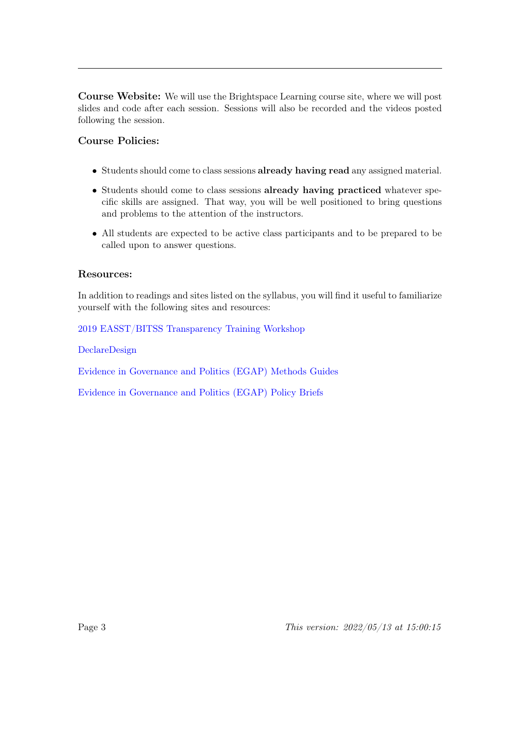Course Website: We will use the Brightspace Learning course site, where we will post slides and code after each session. Sessions will also be recorded and the videos posted following the session.

# Course Policies:

- Students should come to class sessions already having read any assigned material.
- Students should come to class sessions already having practiced whatever specific skills are assigned. That way, you will be well positioned to bring questions and problems to the attention of the instructors.
- All students are expected to be active class participants and to be prepared to be called upon to answer questions.

# Resources:

In addition to readings and sites listed on the syllabus, you will find it useful to familiarize yourself with the following sites and resources:

[2019 EASST/BITSS Transparency Training Workshop](https://drive.google.com/file/d/1G2QTCe0Ur-xf69Q_-Kr3TMByQQdrYLaH/view)

[DeclareDesign](https://declaredesign.org/)

[Evidence in Governance and Politics \(EGAP\) Methods Guides](https://egap.org/methods-guides/)

[Evidence in Governance and Politics \(EGAP\) Policy Briefs](https://egap.org/policy-briefs/)

Page 3 This version:  $2022/05/13$  at  $15:00:15$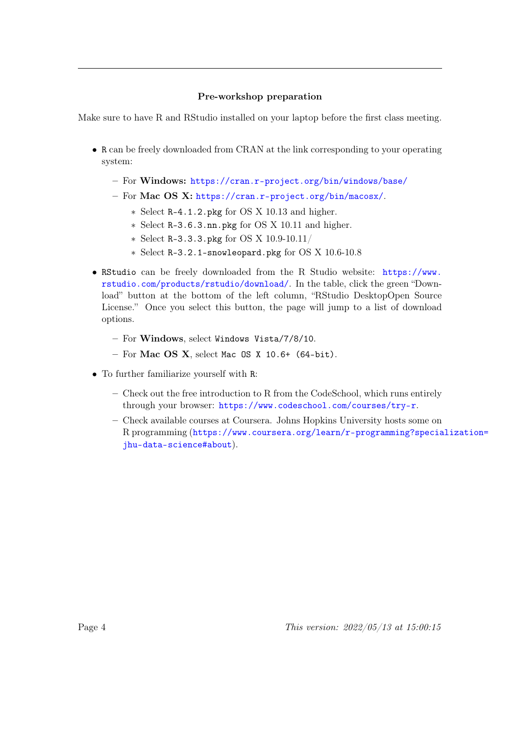## Pre-workshop preparation

Make sure to have R and RStudio installed on your laptop before the first class meeting.

- R can be freely downloaded from CRAN at the link corresponding to your operating system:
	- For Windows: <https://cran.r-project.org/bin/windows/base/>
	- For Mac OS X: <https://cran.r-project.org/bin/macosx/>.
		- ∗ Select R-4.1.2.pkg for OS X 10.13 and higher.
		- ∗ Select R-3.6.3.nn.pkg for OS X 10.11 and higher.
		- ∗ Select R-3.3.3.pkg for OS X 10.9-10.11/
		- ∗ Select R-3.2.1-snowleopard.pkg for OS X 10.6-10.8
- RStudio can be freely downloaded from the R Studio website: [https://www.](https://www.rstudio.com/products/rstudio/download/) [rstudio.com/products/rstudio/download/](https://www.rstudio.com/products/rstudio/download/). In the table, click the green "Download" button at the bottom of the left column, "RStudio DesktopOpen Source License." Once you select this button, the page will jump to a list of download options.
	- For Windows, select Windows Vista/7/8/10.
	- $-$  For Mac OS X, select Mac OS X 10.6+ (64-bit).
- To further familiarize yourself with R:
	- Check out the free introduction to R from the CodeSchool, which runs entirely through your browser: <https://www.codeschool.com/courses/try-r>.
	- Check available courses at Coursera. Johns Hopkins University hosts some on R programming ([https://www.coursera.org/learn/r-programming?specia](https://www.coursera.org/learn/r-programming?specialization=jhu-data-science#about)lization= [jhu-data-science#about](https://www.coursera.org/learn/r-programming?specialization=jhu-data-science#about)).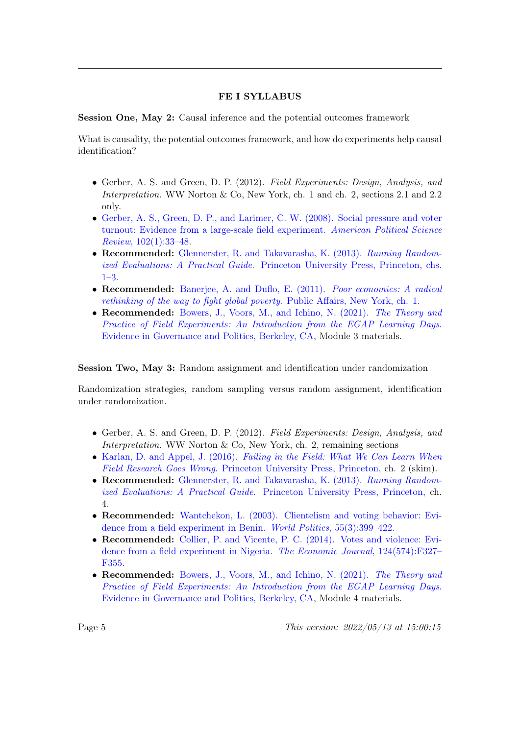## FE I SYLLABUS

Session One, May 2: Causal inference and the potential outcomes framework

What is causality, the potential outcomes framework, and how do experiments help causal identification?

- Gerber, A. S. and Green, D. P. (2012). Field Experiments: Design, Analysis, and Interpretation. WW Norton & Co, New York, ch. 1 and ch. 2, sections 2.1 and 2.2 only.
- [Gerber, A. S., Green, D. P., and Larimer, C. W. \(2008\). Social pressure and voter](https://www-cambridge-org.eui.idm.oclc.org/core/journals/american-political-science-review/article/social-pressure-and-voter-turnout-evidence-from-a-largescale-field-experiment/11E84AF4C0B7FBD1D20C855972C2C3EB) [turnout: Evidence from a large-scale field experiment.](https://www-cambridge-org.eui.idm.oclc.org/core/journals/american-political-science-review/article/social-pressure-and-voter-turnout-evidence-from-a-largescale-field-experiment/11E84AF4C0B7FBD1D20C855972C2C3EB) American Political Science Review[, 102\(1\):33–48.](https://www-cambridge-org.eui.idm.oclc.org/core/journals/american-political-science-review/article/social-pressure-and-voter-turnout-evidence-from-a-largescale-field-experiment/11E84AF4C0B7FBD1D20C855972C2C3EB)
- Recommended: [Glennerster, R. and Takavarasha, K. \(2013\).](https://www-jstor-org.eui.idm.oclc.org/stable/j.ctt4cgd52) Running Randomized Evaluations: A Practical Guide[. Princeton University Press, Princeton, chs.](https://www-jstor-org.eui.idm.oclc.org/stable/j.ctt4cgd52) [1–3.](https://www-jstor-org.eui.idm.oclc.org/stable/j.ctt4cgd52)
- Recommended: [Banerjee, A. and Duflo, E. \(2011\).](https://ebookcentral.proquest.com/lib/eui/detail.action?docID=688714) Poor economics: A radical [rethinking of the way to fight global poverty](https://ebookcentral.proquest.com/lib/eui/detail.action?docID=688714). Public Affairs, New York, ch. 1.
- Recommended: [Bowers, J., Voors, M., and Ichino, N. \(2021\).](https://egap.github.io/theory_and_practice_of_field_experiments/causal-inference.html) The Theory and [Practice of Field Experiments: An Introduction from the EGAP Learning Days](https://egap.github.io/theory_and_practice_of_field_experiments/causal-inference.html). [Evidence in Governance and Politics, Berkeley, CA,](https://egap.github.io/theory_and_practice_of_field_experiments/causal-inference.html) Module 3 materials.

#### Session Two, May 3: Random assignment and identification under randomization

Randomization strategies, random sampling versus random assignment, identification under randomization.

- Gerber, A. S. and Green, D. P. (2012). Field Experiments: Design, Analysis, and Interpretation. WW Norton & Co, New York, ch. 2, remaining sections
- Karlan, D. and Appel, J. (2016). [Failing in the Field: What We Can Learn When](https://www-jstor-org.eui.idm.oclc.org/stable/j.ctt21c4v92) Field Research Goes Wrong[. Princeton University Press, Princeton,](https://www-jstor-org.eui.idm.oclc.org/stable/j.ctt21c4v92) ch. 2 (skim).
- Recommended: [Glennerster, R. and Takavarasha, K. \(2013\).](https://www-jstor-org.eui.idm.oclc.org/stable/j.ctt4cgd52) Running Randomized Evaluations: A Practical Guide[. Princeton University Press, Princeton,](https://www-jstor-org.eui.idm.oclc.org/stable/j.ctt4cgd52) ch. 4.
- Recommended: [Wantchekon, L. \(2003\). Clientelism and voting behavior: Evi](https://www-cambridge-org.eui.idm.oclc.org/core/journals/world-politics/article/abs/clientelism-and-voting-behavior-evidence-from-a-field-experiment-in-benin/3E386064D15E5E162AEDCEBECB32E8CB)[dence from a field experiment in Benin.](https://www-cambridge-org.eui.idm.oclc.org/core/journals/world-politics/article/abs/clientelism-and-voting-behavior-evidence-from-a-field-experiment-in-benin/3E386064D15E5E162AEDCEBECB32E8CB) World Politics, 55(3):399–422.
- Recommended: [Collier, P. and Vicente, P. C. \(2014\). Votes and violence: Evi](https://www-jstor-org.eui.idm.oclc.org/stable/42919295?refreqid=excelsior%3A32c7205b7355e1d97bde057069a83600&seq=1)[dence from a field experiment in Nigeria.](https://www-jstor-org.eui.idm.oclc.org/stable/42919295?refreqid=excelsior%3A32c7205b7355e1d97bde057069a83600&seq=1) The Economic Journal, 124(574):F327– [F355.](https://www-jstor-org.eui.idm.oclc.org/stable/42919295?refreqid=excelsior%3A32c7205b7355e1d97bde057069a83600&seq=1)
- Recommended: [Bowers, J., Voors, M., and Ichino, N. \(2021\).](https://egap.github.io/theory_and_practice_of_field_experiments/randomization.html) The Theory and [Practice of Field Experiments: An Introduction from the EGAP Learning Days](https://egap.github.io/theory_and_practice_of_field_experiments/randomization.html). [Evidence in Governance and Politics, Berkeley, CA,](https://egap.github.io/theory_and_practice_of_field_experiments/randomization.html) Module 4 materials.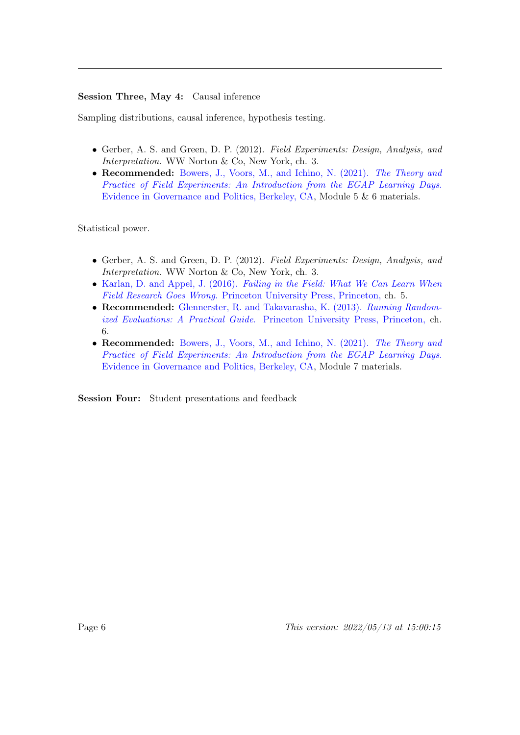#### Session Three, May 4: Causal inference

Sampling distributions, causal inference, hypothesis testing.

- Gerber, A. S. and Green, D. P. (2012). Field Experiments: Design, Analysis, and Interpretation. WW Norton & Co, New York, ch. 3.
- Recommended: [Bowers, J., Voors, M., and Ichino, N. \(2021\).](https://egap.github.io/theory_and_practice_of_field_experiments/) The Theory and [Practice of Field Experiments: An Introduction from the EGAP Learning Days](https://egap.github.io/theory_and_practice_of_field_experiments/). [Evidence in Governance and Politics, Berkeley, CA,](https://egap.github.io/theory_and_practice_of_field_experiments/) Module 5 & 6 materials.

Statistical power.

- Gerber, A. S. and Green, D. P. (2012). Field Experiments: Design, Analysis, and Interpretation. WW Norton & Co, New York, ch. 3.
- Karlan, D. and Appel, J. (2016). [Failing in the Field: What We Can Learn When](https://www-jstor-org.eui.idm.oclc.org/stable/j.ctt21c4v92) Field Research Goes Wrong[. Princeton University Press, Princeton,](https://www-jstor-org.eui.idm.oclc.org/stable/j.ctt21c4v92) ch. 5.
- Recommended: [Glennerster, R. and Takavarasha, K. \(2013\).](https://www-jstor-org.eui.idm.oclc.org/stable/j.ctt4cgd52) Running Randomized Evaluations: A Practical Guide[. Princeton University Press, Princeton,](https://www-jstor-org.eui.idm.oclc.org/stable/j.ctt4cgd52) ch. 6.
- Recommended: [Bowers, J., Voors, M., and Ichino, N. \(2021\).](https://egap.github.io/theory_and_practice_of_field_experiments/) The Theory and [Practice of Field Experiments: An Introduction from the EGAP Learning Days](https://egap.github.io/theory_and_practice_of_field_experiments/). [Evidence in Governance and Politics, Berkeley, CA,](https://egap.github.io/theory_and_practice_of_field_experiments/) Module 7 materials.

Session Four: Student presentations and feedback

Page 6 This version:  $2022/05/13$  at  $15:00:15$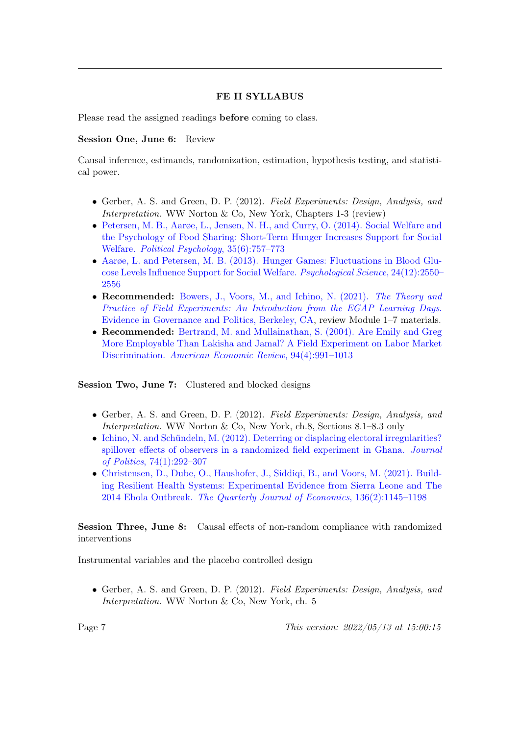#### FE II SYLLABUS

Please read the assigned readings before coming to class.

#### Session One, June 6: Review

Causal inference, estimands, randomization, estimation, hypothesis testing, and statistical power.

- Gerber, A. S. and Green, D. P. (2012). Field Experiments: Design, Analysis, and Interpretation. WW Norton & Co, New York, Chapters 1-3 (review)
- [Petersen, M. B., Aarøe, L., Jensen, N. H., and Curry, O. \(2014\). Social Welfare and](https://doi.org/10.1111/pops.12062 ) [the Psychology of Food Sharing: Short-Term Hunger Increases Support for Social](https://doi.org/10.1111/pops.12062 ) Welfare. [Political Psychology](https://doi.org/10.1111/pops.12062 ), 35(6):757–773
- [Aarøe, L. and Petersen, M. B. \(2013\). Hunger Games: Fluctuations in Blood Glu](https://journals.sagepub.com/doi/pdf/10.1177/0956797613495244)[cose Levels Influence Support for Social Welfare.](https://journals.sagepub.com/doi/pdf/10.1177/0956797613495244) Psychological Science, 24(12):2550– [2556](https://journals.sagepub.com/doi/pdf/10.1177/0956797613495244)
- Recommended: [Bowers, J., Voors, M., and Ichino, N. \(2021\).](https://egap.github.io/theory_and_practice_of_field_experiments/) The Theory and [Practice of Field Experiments: An Introduction from the EGAP Learning Days](https://egap.github.io/theory_and_practice_of_field_experiments/). [Evidence in Governance and Politics, Berkeley, CA,](https://egap.github.io/theory_and_practice_of_field_experiments/) review Module 1–7 materials.
- Recommended: [Bertrand, M. and Mullainathan, S. \(2004\). Are Emily and Greg](https://www-jstor-org.eui.idm.oclc.org/stable/3592802?seq=1) [More Employable Than Lakisha and Jamal? A Field Experiment on Labor Market](https://www-jstor-org.eui.idm.oclc.org/stable/3592802?seq=1) Discrimination. [American Economic Review](https://www-jstor-org.eui.idm.oclc.org/stable/3592802?seq=1), 94(4):991–1013

Session Two, June 7: Clustered and blocked designs

- Gerber, A. S. and Green, D. P. (2012). Field Experiments: Design, Analysis, and Interpretation. WW Norton & Co, New York, ch.8, Sections 8.1–8.3 only
- [Ichino, N. and Schündeln, M. \(2012\). Deterring or displacing electoral irregularities?](https://www.journals.uchicago.edu/doi/pdfplus/10.1017/S0022381611001368) [spillover effects of observers in a randomized field experiment in Ghana.](https://www.journals.uchicago.edu/doi/pdfplus/10.1017/S0022381611001368) Journal of Politics[, 74\(1\):292–307](https://www.journals.uchicago.edu/doi/pdfplus/10.1017/S0022381611001368)
- [Christensen, D., Dube, O., Haushofer, J., Siddiqi, B., and Voors, M. \(2021\). Build](https://doi.org/10.1093/qje/qjaa039)[ing Resilient Health Systems: Experimental Evidence from Sierra Leone and The](https://doi.org/10.1093/qje/qjaa039) 2014 Ebola Outbreak. [The Quarterly Journal of Economics](https://doi.org/10.1093/qje/qjaa039), 136(2):1145–1198

Session Three, June 8: Causal effects of non-random compliance with randomized interventions

Instrumental variables and the placebo controlled design

• Gerber, A. S. and Green, D. P. (2012). Field Experiments: Design, Analysis, and Interpretation. WW Norton & Co, New York, ch. 5

Page 7 This version: 2022/05/13 at 15:00:15